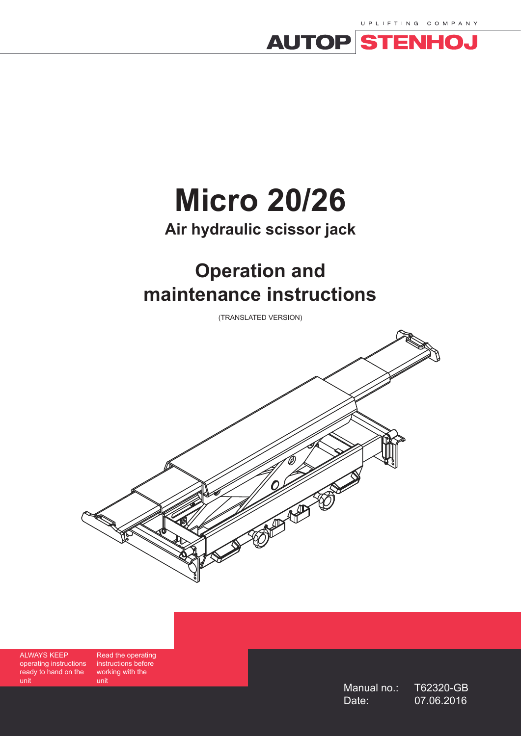



# **Micro 20/26**

# **Air hydraulic scissor jack**

# **Operation and maintenance instructions**

(TRANSLATED VERSION)



ALWAYS KEEP operating instructions ready to hand on the unit

Read the operating instructions before working with the unit

Manual no.: T62320-GB Date: 07.06.2016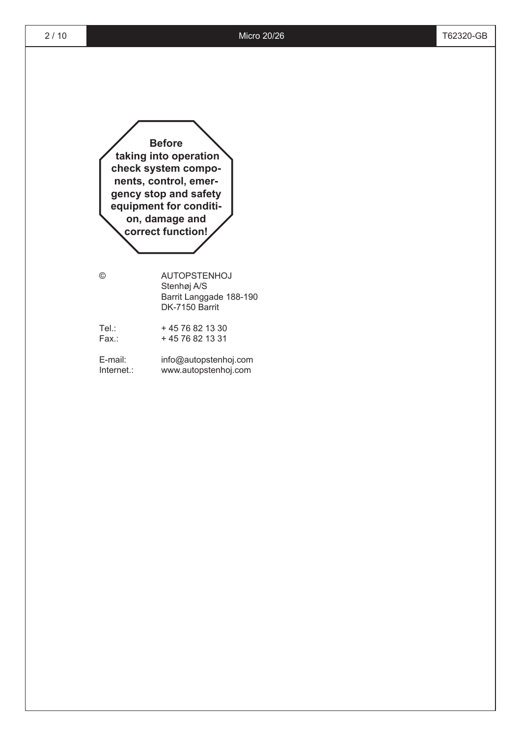**Before taking into operation check system components, control, emergency stop and safety equipment for condition, damage and correct function!**

© AUTOPSTENHOJ Stenhøj A/S Barrit Langgade 188-190 DK-7150 Barrit

| Tel∴  | +4576821330      |
|-------|------------------|
| Fax.: | + 45 76 82 13 31 |

E-mail: info@autopstenhoj.com Internet.: www.autopstenhoj.com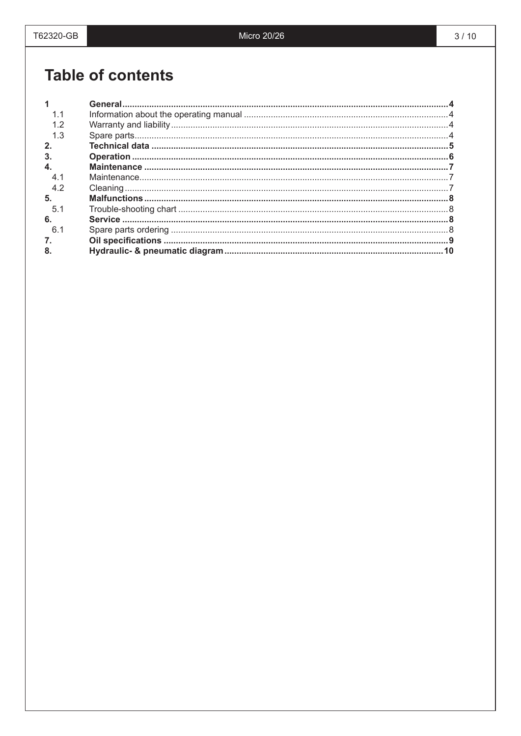# **Table of contents**

| 1.1          |  |
|--------------|--|
|              |  |
| 1.3          |  |
| 2.           |  |
| $\mathbf{3}$ |  |
| $\mathbf{4}$ |  |
| 41           |  |
| 4.2          |  |
| 5.           |  |
| 5.1          |  |
| 6.           |  |
| 6.1          |  |
| 7.           |  |
| 8.           |  |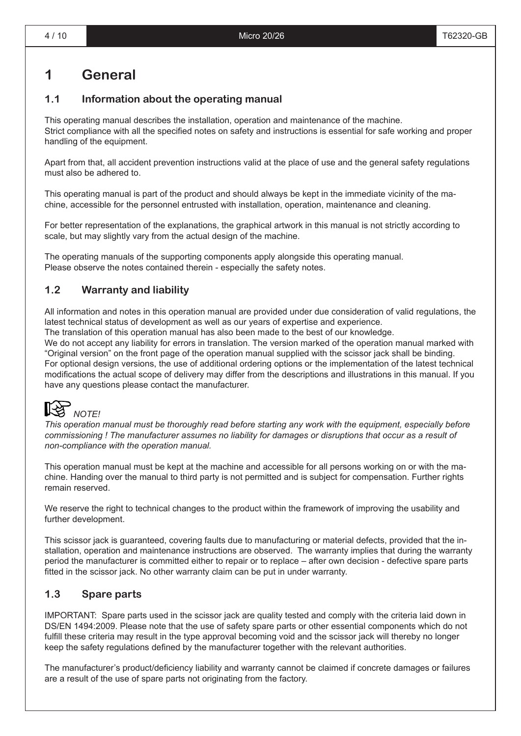# **1 General**

### **1.1 Information about the operating manual**

This operating manual describes the installation, operation and maintenance of the machine. Strict compliance with all the specified notes on safety and instructions is essential for safe working and proper handling of the equipment.

Apart from that, all accident prevention instructions valid at the place of use and the general safety regulations must also be adhered to.

This operating manual is part of the product and should always be kept in the immediate vicinity of the machine, accessible for the personnel entrusted with installation, operation, maintenance and cleaning.

For better representation of the explanations, the graphical artwork in this manual is not strictly according to scale, but may slightly vary from the actual design of the machine.

The operating manuals of the supporting components apply alongside this operating manual. Please observe the notes contained therein - especially the safety notes.

### **1.2 Warranty and liability**

All information and notes in this operation manual are provided under due consideration of valid regulations, the latest technical status of development as well as our years of expertise and experience.

The translation of this operation manual has also been made to the best of our knowledge.

We do not accept any liability for errors in translation. The version marked of the operation manual marked with "Original version" on the front page of the operation manual supplied with the scissor jack shall be binding. For optional design versions, the use of additional ordering options or the implementation of the latest technical modifications the actual scope of delivery may differ from the descriptions and illustrations in this manual. If you have any questions please contact the manufacturer.



*This operation manual must be thoroughly read before starting any work with the equipment, especially before commissioning ! The manufacturer assumes no liability for damages or disruptions that occur as a result of non-compliance with the operation manual.*

This operation manual must be kept at the machine and accessible for all persons working on or with the machine. Handing over the manual to third party is not permitted and is subject for compensation. Further rights remain reserved.

We reserve the right to technical changes to the product within the framework of improving the usability and further development.

This scissor jack is guaranteed, covering faults due to manufacturing or material defects, provided that the installation, operation and maintenance instructions are observed. The warranty implies that during the warranty period the manufacturer is committed either to repair or to replace – after own decision - defective spare parts fitted in the scissor jack. No other warranty claim can be put in under warranty.

### **1.3 Spare parts**

IMPORTANT: Spare parts used in the scissor jack are quality tested and comply with the criteria laid down in DS/EN 1494:2009. Please note that the use of safety spare parts or other essential components which do not fulfill these criteria may result in the type approval becoming void and the scissor jack will thereby no longer keep the safety regulations defined by the manufacturer together with the relevant authorities.

The manufacturer's product/deficiency liability and warranty cannot be claimed if concrete damages or failures are a result of the use of spare parts not originating from the factory.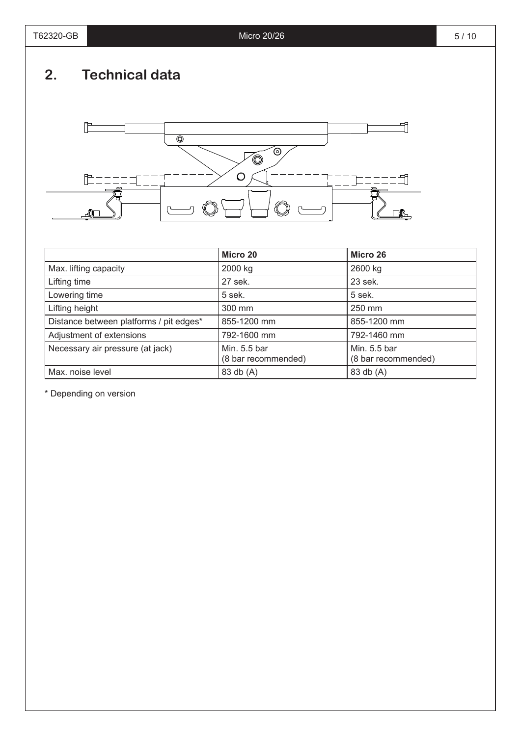# **2. Technical data**



|                                         | Micro 20                            | Micro 26                            |
|-----------------------------------------|-------------------------------------|-------------------------------------|
| Max. lifting capacity                   | 2000 kg                             | 2600 kg                             |
| Lifting time                            | 27 sek.                             | 23 sek.                             |
| Lowering time                           | 5 sek.                              | 5 sek.                              |
| Lifting height                          | 300 mm                              | 250 mm                              |
| Distance between platforms / pit edges* | 855-1200 mm                         | 855-1200 mm                         |
| Adjustment of extensions                | 792-1600 mm                         | 792-1460 mm                         |
| Necessary air pressure (at jack)        | Min. 5.5 bar<br>(8 bar recommended) | Min. 5.5 bar<br>(8 bar recommended) |
| Max. noise level                        | 83 db (A)                           | 83 db (A)                           |

\* Depending on version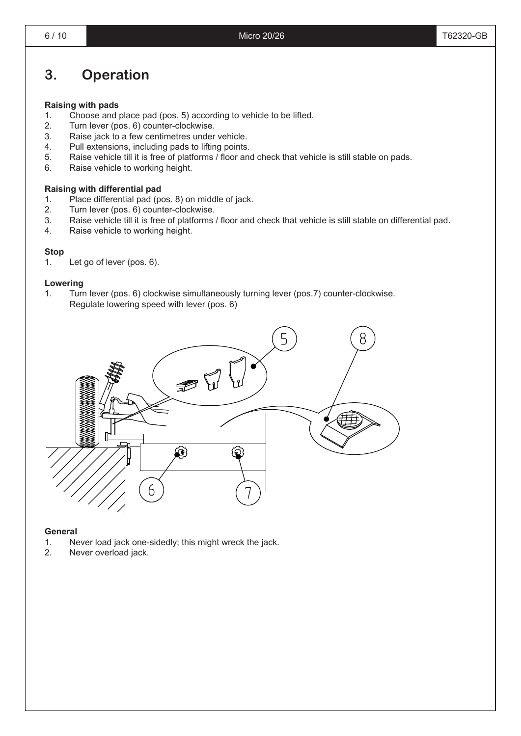# **3. Operation**

#### **Raising with pads**

- 1. Choose and place pad (pos. 5) according to vehicle to be lifted.
- 2. Turn lever (pos. 6) counter-clockwise.
- 3. Raise jack to a few centimetres under vehicle.
- 4. Pull extensions, including pads to lifting points.
- 5. Raise vehicle till it is free of platforms / floor and check that vehicle is still stable on pads.
- 6. Raise vehicle to working height.

#### **Raising with differential pad**

- 1. Place differential pad (pos. 8) on middle of jack.
- 2. Turn lever (pos. 6) counter-clockwise.
- 3. Raise vehicle till it is free of platforms / floor and check that vehicle is still stable on differential pad.
- 4. Raise vehicle to working height.

#### **Stop**

1. Let go of lever (pos. 6).

#### **Lowering**

1. Turn lever (pos. 6) clockwise simultaneously turning lever (pos.7) counter-clockwise. Regulate lowering speed with lever (pos. 6)



#### **General**

- 1. Never load jack one-sidedly; this might wreck the jack.<br>2. Never overload jack.
- Never overload jack.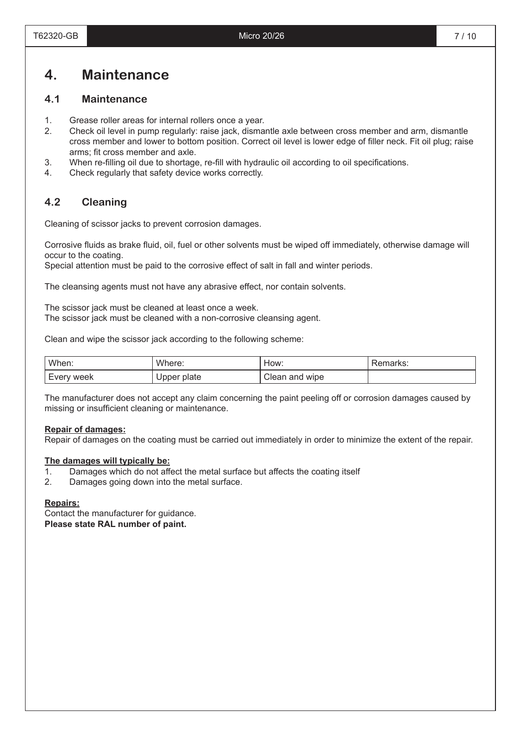### **4. Maintenance**

#### **4.1 Maintenance**

- 1. Grease roller areas for internal rollers once a year.
- 2. Check oil level in pump regularly: raise jack, dismantle axle between cross member and arm, dismantle cross member and lower to bottom position. Correct oil level is lower edge of filler neck. Fit oil plug; raise arms; fit cross member and axle.
- 3. When re-filling oil due to shortage, re-fill with hydraulic oil according to oil specifications.
- 4. Check regularly that safety device works correctly.

#### **4.2 Cleaning**

Cleaning of scissor jacks to prevent corrosion damages.

Corrosive fluids as brake fluid, oil, fuel or other solvents must be wiped off immediately, otherwise damage will occur to the coating.

Special attention must be paid to the corrosive effect of salt in fall and winter periods.

The cleansing agents must not have any abrasive effect, nor contain solvents.

The scissor jack must be cleaned at least once a week. The scissor jack must be cleaned with a non-corrosive cleansing agent.

Clean and wipe the scissor jack according to the following scheme:

| When:      | Where:      | How:           | Remarks: |
|------------|-------------|----------------|----------|
| Every week | Upper plate | Clean and wipe |          |

The manufacturer does not accept any claim concerning the paint peeling off or corrosion damages caused by missing or insufficient cleaning or maintenance.

#### **Repair of damages:**

Repair of damages on the coating must be carried out immediately in order to minimize the extent of the repair.

#### **The damages will typically be:**

- 1. Damages which do not affect the metal surface but affects the coating itself
- 2. Damages going down into the metal surface.

#### **Repairs:**

Contact the manufacturer for guidance. **Please state RAL number of paint.**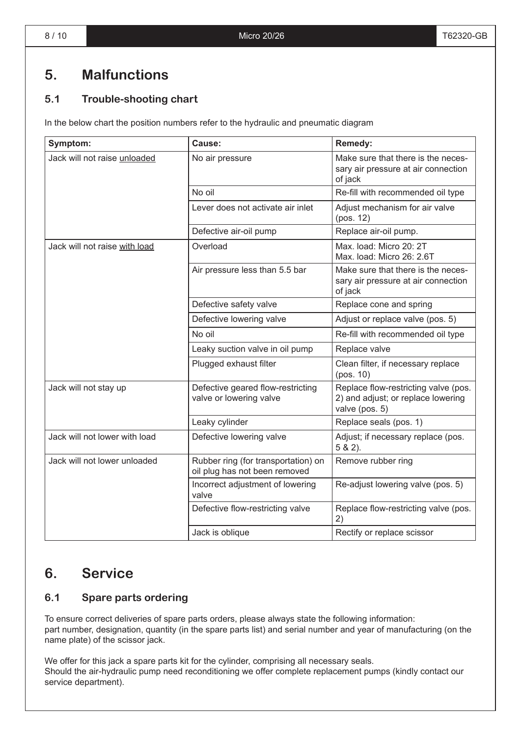# **5. Malfunctions**

### **5.1 Trouble-shooting chart**

In the below chart the position numbers refer to the hydraulic and pneumatic diagram

| Symptom:                      | Cause:                                                               | Remedy:                                                                                      |  |
|-------------------------------|----------------------------------------------------------------------|----------------------------------------------------------------------------------------------|--|
| Jack will not raise unloaded  | No air pressure                                                      | Make sure that there is the neces-<br>sary air pressure at air connection<br>of jack         |  |
|                               | No oil                                                               | Re-fill with recommended oil type                                                            |  |
|                               | Lever does not activate air inlet                                    | Adjust mechanism for air valve<br>(pos. 12)                                                  |  |
|                               | Defective air-oil pump                                               | Replace air-oil pump.                                                                        |  |
| Jack will not raise with load | Overload                                                             | Max. load: Micro 20: 2T<br>Max. load: Micro 26: 2.6T                                         |  |
|                               | Air pressure less than 5.5 bar                                       | Make sure that there is the neces-<br>sary air pressure at air connection<br>of jack         |  |
|                               | Defective safety valve                                               | Replace cone and spring                                                                      |  |
|                               | Defective lowering valve                                             | Adjust or replace valve (pos. 5)                                                             |  |
|                               | No oil                                                               | Re-fill with recommended oil type                                                            |  |
|                               | Leaky suction valve in oil pump                                      | Replace valve                                                                                |  |
|                               | Plugged exhaust filter                                               | Clean filter, if necessary replace<br>(pos. 10)                                              |  |
| Jack will not stay up         | Defective geared flow-restricting<br>valve or lowering valve         | Replace flow-restricting valve (pos.<br>2) and adjust; or replace lowering<br>valve (pos. 5) |  |
|                               | Leaky cylinder                                                       | Replace seals (pos. 1)                                                                       |  |
| Jack will not lower with load | Defective lowering valve                                             | Adjust; if necessary replace (pos.<br>$5 & 2$ ).                                             |  |
| Jack will not lower unloaded  | Rubber ring (for transportation) on<br>oil plug has not been removed | Remove rubber ring                                                                           |  |
|                               | Incorrect adjustment of lowering<br>valve                            | Re-adjust lowering valve (pos. 5)                                                            |  |
|                               | Defective flow-restricting valve                                     | Replace flow-restricting valve (pos.<br>2)                                                   |  |
|                               | Jack is oblique                                                      | Rectify or replace scissor                                                                   |  |

### **6. Service**

### **6.1 Spare parts ordering**

To ensure correct deliveries of spare parts orders, please always state the following information: part number, designation, quantity (in the spare parts list) and serial number and year of manufacturing (on the name plate) of the scissor jack.

We offer for this jack a spare parts kit for the cylinder, comprising all necessary seals. Should the air-hydraulic pump need reconditioning we offer complete replacement pumps (kindly contact our service department).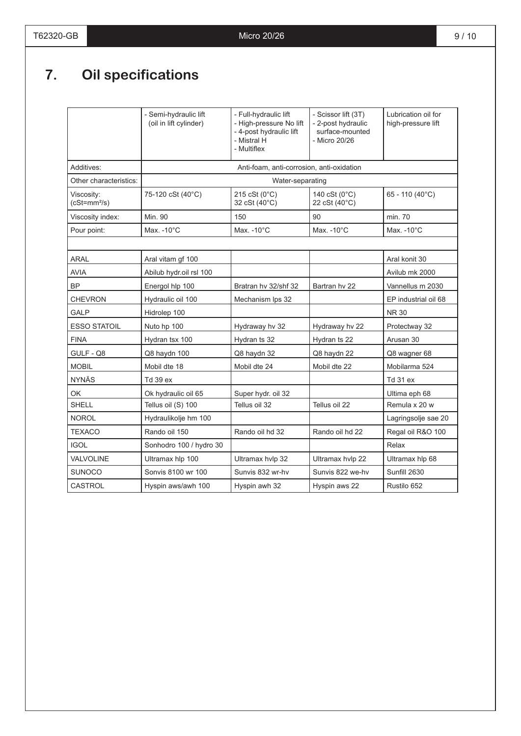# **7. Oil specifications**

|                             | - Semi-hydraulic lift<br>(oil in lift cylinder) | - Full-hydraulic lift<br>- High-pressure No lift<br>- 4-post hydraulic lift<br>- Mistral H<br>- Multiflex | - Scissor lift (3T)<br>- 2-post hydraulic<br>surface-mounted<br>- Micro 20/26 | Lubrication oil for<br>high-pressure lift |
|-----------------------------|-------------------------------------------------|-----------------------------------------------------------------------------------------------------------|-------------------------------------------------------------------------------|-------------------------------------------|
| Additives:                  |                                                 | Anti-foam, anti-corrosion, anti-oxidation                                                                 |                                                                               |                                           |
| Other characteristics:      | Water-separating                                |                                                                                                           |                                                                               |                                           |
| Viscosity:<br>$(cSt=mm2/s)$ | 75-120 cSt (40°C)                               | 215 cSt (0°C)<br>32 cSt (40°C)                                                                            | 140 cSt (0°C)<br>22 cSt (40°C)                                                | 65 - 110 (40°C)                           |
| Viscosity index:            | Min. 90                                         | 150                                                                                                       | 90                                                                            | min. 70                                   |
| Pour point:                 | Max. $-10^{\circ}$ C                            | Max. $-10^{\circ}$ C                                                                                      | Max. $-10^{\circ}$ C                                                          | Max. $-10^{\circ}$ C                      |
|                             |                                                 |                                                                                                           |                                                                               |                                           |
| <b>ARAL</b>                 | Aral vitam gf 100                               |                                                                                                           |                                                                               | Aral konit 30                             |
| <b>AVIA</b>                 | Abilub hydr.oil rsl 100                         |                                                                                                           |                                                                               | Avilub mk 2000                            |
| <b>BP</b>                   | Energol hlp 100                                 | Bratran hy 32/shf 32                                                                                      | Bartran hy 22                                                                 | Vannellus m 2030                          |
| <b>CHEVRON</b>              | Hydraulic oil 100                               | Mechanism Ips 32                                                                                          |                                                                               | EP industrial oil 68                      |
| GALP                        | Hidrolep 100                                    |                                                                                                           |                                                                               | <b>NR 30</b>                              |
| <b>ESSO STATOIL</b>         | Nuto hp 100                                     | Hydraway hv 32                                                                                            | Hydraway hv 22                                                                | Protectway 32                             |
| <b>FINA</b>                 | Hydran tsx 100                                  | Hydran ts 32                                                                                              | Hydran ts 22                                                                  | Arusan 30                                 |
| GULF - Q8                   | Q8 haydn 100                                    | Q8 haydn 32                                                                                               | Q8 haydn 22                                                                   | Q8 wagner 68                              |
| <b>MOBIL</b>                | Mobil dte 18                                    | Mobil dte 24                                                                                              | Mobil dte 22                                                                  | Mobilarma 524                             |
| <b>NYNÄS</b>                | Td 39 ex                                        |                                                                                                           |                                                                               | Td 31 ex                                  |
| <b>OK</b>                   | Ok hydraulic oil 65                             | Super hydr. oil 32                                                                                        |                                                                               | Ultima eph 68                             |
| <b>SHELL</b>                | Tellus oil (S) 100                              | Tellus oil 32                                                                                             | Tellus oil 22                                                                 | Remula x 20 w                             |
| <b>NOROL</b>                | Hydraulikolje hm 100                            |                                                                                                           |                                                                               | Lagringsolje sae 20                       |
| <b>TEXACO</b>               | Rando oil 150                                   | Rando oil hd 32                                                                                           | Rando oil hd 22                                                               | Regal oil R&O 100                         |
| <b>IGOL</b>                 | Sonhodro 100 / hydro 30                         |                                                                                                           |                                                                               | Relax                                     |
| VALVOLINE                   | Ultramax hlp 100                                | Ultramax hvlp 32                                                                                          | Ultramax hvlp 22                                                              | Ultramax hlp 68                           |
| <b>SUNOCO</b>               | Sonvis 8100 wr 100                              | Sunvis 832 wr-hv                                                                                          | Sunvis 822 we-hv                                                              | Sunfill 2630                              |
| <b>CASTROL</b>              | Hyspin aws/awh 100                              | Hyspin awh 32                                                                                             | Hyspin aws 22                                                                 | Rustilo 652                               |